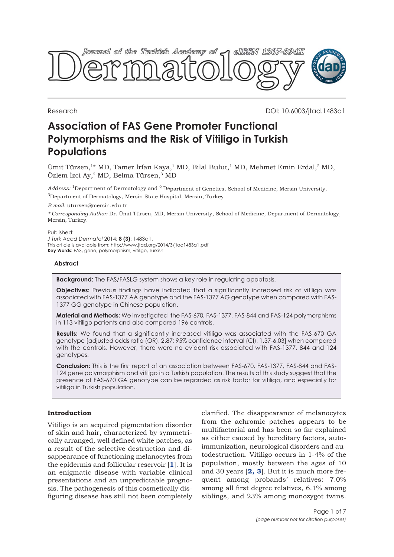

Research DOI: 10.6003/jtad.1483a1

# **Association of FAS Gene Promoter Functional Polymorphisms and the Risk of Vitiligo in Turkish Populations**

Ümit Türsen,<sup>1\*</sup> MD, Tamer İrfan Kaya,<sup>1</sup> MD, Bilal Bulut,<sup>1</sup> MD, Mehmet Emin Erdal,<sup>2</sup> MD, Özlem İzci Ay,2 MD, Belma Türsen,3 MD

*Address:* 1Department of Dermatology and 2 Department of Genetics, School of Medicine, Mersin University, 3Department of Dermatology, Mersin State Hospital, Mersin, Turkey

*E-mail:* utursen@mersin.edu.tr

*\* Corresponding Author:* Dr. Ümit Türsen, MD, Mersin University, School of Medicine, Department of Dermatology, Mersin, Turkey.

Published:

*J Turk Acad Dermatol* 2014; **8 (3)**: 1483a1. This article is available from: http://www.jtad.org/2014/3/jtad1483a1.pdf **Key Words:** FAS, gene, polymorphism, vitiligo, Turkish

# **Abstract**

**Background:** The FAS/FASLG system shows a key role in regulating apoptosis.

**Objectives:** Previous findings have indicated that a significantly increased risk of vitiligo was associated with FAS-1377 AA genotype and the FAS-1377 AG genotype when compared with FAS-1377 GG genotype in Chinese population.

**Material and Methods:** We investigated the FAS-670, FAS-1377, FAS-844 and FAS-124 polymorphisms in 113 vitiligo patients and also compared 196 controls.

**Results:** We found that a significantly increased vitiligo was associated with the FAS-670 GA genotype [adjusted odds ratio (OR), 2.87; 95% confidence interval (CI), 1.37-6.03] when compared with the controls. However, there were no evident risk associated with FAS-1377, 844 and 124 genotypes.

**Conclusion:** This is the first report of an association between FAS-670, FAS-1377, FAS-844 and FAS-124 gene polymorphism and vitiligo in a Turkish population. The results of this study suggest that the presence of FAS-670 GA genotype can be regarded as risk factor for vitiligo, and especially for vitiligo in Turkish population.

# **Introduction**

Vitiligo is an acquired pigmentation disorder of skin and hair, characterized by symmetrically arranged, well defined white patches, as a result of the selective destruction and disappearance of functioning melanocytes from the epidermis and follicular reservoir [**[1](#page-5-0)**]. It is an enigmatic disease with variable clinical presentations and an unpredictable prognosis. The pathogenesis of this cosmetically disfiguring disease has still not been completely

clarified. The disappearance of melanocytes from the achromic patches appears to be multifactorial and has been so far explained as either caused by hereditary factors, autoimmunization, neurological disorders and autodestruction. Vitiligo occurs in 1-4% of the population, mostly between the ages of 10 and 30 years [**[2, 3](#page-5-0)**]. But it is much more frequent among probands' relatives: 7.0% among all first degree relatives, 6.1% among siblings, and 23% among monozygot twins.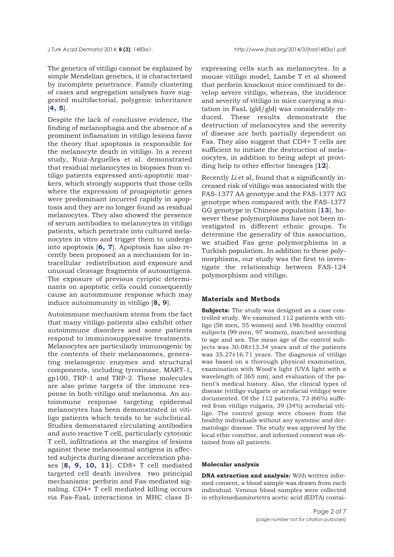The genetics of vitiligo cannot be explained by simple Mendelian genetics, it is characterized by incomplete penetrance. Family clustering of cases and segregation analyses have suggested multifactorial, polygenic inheritance  $[4, 5]$  $[4, 5]$  $[4, 5]$  $[4, 5]$  $[4, 5]$ .

Despite the lack of conclusive evidence, the finding of melanophagia and the absence of a prominent inflamation in vitiligo lesions favor the theory that apoptosis is responsible for the melanocyte death in vitiligo. In a recent study, Ruiz-Arguelles et al. demonstrated that residual melanocytes in biopsies from vitiligo patients expressed anti-apoptotic markers, which strongly supports that those cells where the expression of proapoptotic genes were predominant incurred rapidly in apoptosis and they are no longer found as residual melanocytes. They also showed the presence of serum antibodies to melanocytes in vitiligo patients, which penetrate into cultured melanocytes in vitro and trigger them to undergo into apoptosis [**[6, 7](#page-6-0)**]. Apoptosis has also recently been proposed as a mechanism for intracellular redistribution and exposure and unusual cleavage fragments of autoantigens. The exposure of previous cyriptic determinants on apoptotic cells could consequently cause an autoimmune response which may induce autoimmunity in vitiligo [**[8,](#page-6-0) [9](#page-6-0)**].

Autoimmune mechanism stems from the fact that many vitiligo patients also exhibit other autoimmune disorders and some patients respond to immunosuppressive treatments. Melanocytes are particularly immunogenic by the contents of their melanosomes, generating melanogenic enzymes and structural components, including tyrosinase, MART-1, gp100, TRP-1 and TRP-2. These molecules are also prime targets of the immune response in both vitiligo and melanoma. An autoimmune response targeting epidermal melanocytes has been demonstrated in vitiligo patients which tends to be subclinical. Studies demonstared circulating antibodies and auto reactive T cell, particularly cytotoxic T cell, infiltrations at the margins of lesions against these melanosomal antigens in affected subjects during disease acceleration phases [**[8, 9,](#page-6-0) [10,](#page-6-0) [11](#page-6-0)**]. CD8+ T cell mediated targeted cell death involves two principal mechanisms: perforin and Fas-mediated signaling. CD4+ T cell mediated killing occurs via Fas-FasL interactions in MHC class II-

expressing cells such as melanocytes. In a mouse vitiligo model, Lambe T et al showed that perforin knockout mice continued to develop severe vitiligo, whereas, the incidence and severity of vitiligo in mice carrying a mutation in FasL (gld/gld) was considerably reduced. These results demonstrate the destruction of melanocytes and the severity of disease are both partially dependent on Fas. They also suggest that CD4+ T cells are sufficient to initiate the destruction of melanocytes, in addition to being adept at providing help to other effector lineages [**[12](#page-6-0)**].

Recently *Li* et al, found that a significantly increased risk of vitiligo was associated with the FAS-1377 AA genotype and the FAS-1377 AG genotype when compared with the FAS-1377 GG genotype in Chinese population [**[13](#page-6-0)**], however these polymorphisms have not been investigated in different ethnic groups. To determine the generality of this association, we studied Fas gene polymorphisms in a Turkish population. In addition to these polymorphisms, our study was the first to investigate the relationship between FAS-124 polymorphism and vitiligo.

#### **Materials and Methods**

**Subjects:** The study was designed as a case controlled study. We examined 112 patients with vitiligo (56 men, 55 women) and 196 healthy control subjects (99 men, 97 women), matched according to age and sex. The mean age of the control subjects was 30.08±13.34 years and of the patients was 35.27±16.71 years. The diagnosis of vitiligo was based on a thorough physical examination, examination with Wood's light (UVA light with a wavelength of 365 nm), and evaluation of the patient's medical history. Also, the clinical types of disease (vitiligo vulgaris or acrofacial vitiligo) were documented. Of the 112 patients, 73 (66%) suffered from vitiligo vulgaris, 39 (34%) acrofacial vitiligo. The control group were chosen from the healthy individuals without any systemic and dermatologic disease. The study was approved by the local ethic comittee, and informed consent was obtained from all patients.

#### **Molecular analysis**

**DNA extraction and analysis:** With written informed consent, a blood sample was drawn from each individual. Venous blood samples were collected in ethylenediaminetetra acetic acid (EDTA) contai-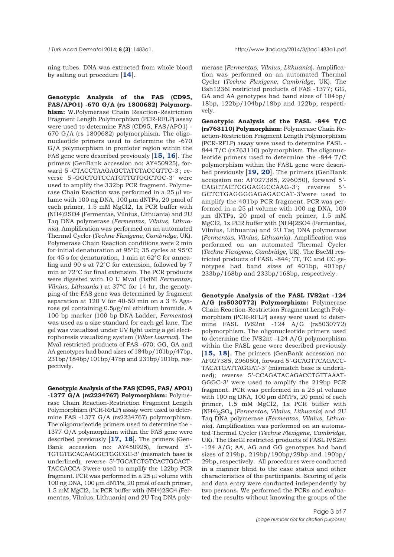ning tubes. DNA was extracted from whole blood by salting out procedure [**[14](#page-6-0)**].

**Genotypic Analysis of the FAS (CD95, FAS/APO1) -670 G/A (rs 1800682) Polymorphism:** W.Polymerase Chain Reaction-Restriction Fragment Length Polymorphism (PCR-RFLP) assay were used to determine FAS (CD95, FAS/APO1) - 670 G/A (rs 1800682) polymorphism. The oligonucleotide primers used to determine the -670 G/A polymorphism in promoter region within the FAS gene were described previously [**[15, 16](#page-6-0)**]. The primers (GenBank accession no: AY450925), forward 5'-CTACCTAAGAGCTATCTACCGTTC-3'; reverse 5'-GGCTGTCCATGTTGTGGCTGC-3' were used to amplify the 332bp PCR fragment. Polymerase Chain Reaction was performed in a 25 μl volume with 100 ng DNA, 100 μm dNTPs, 20 pmol of each primer, 1.5 mM MgCl2, 1x PCR buffer with (NH4)2SO4 (Fermentas, Vilnius, Lithuania) and 2U Taq DNA polymerase (*Fermentas, Vilnius, Lithuania*). Amplification was performed on an automated Thermal Cycler (*Techne Flexigene, Cambridge*, UK). Polymerase Chain Reaction conditions were 2 min for initial denaturation at 95°C; 35 cycles at 95°C for 45 s for denaturation, 1 min at 62°C for annealing and 90 s at 72°C for extension, followed by 7 min at 72°C for final extension. The PCR products were digested with 10 U MvaI (BstNI *Fermentas, Vilnius, Lithuania* ) at 37°C for 14 hr, the genotyping of the FAS gene was determined by fragment separation at 120 V for 40-50 min on a 3 % Agarose gel containing 0.5μg/ml ethidium bromide. A 100 bp marker (100 bp DNA Ladder, *Fermentas*) was used as a size standard for each gel lane. The gel was visualized under UV light using a gel electrophoresis visualizing system (*Vilber Lourmat*). The MvaI restricted products of FAS -670; GG, GA and AA genotypes had band sizes of 184bp/101bp/47bp, 231bp/184bp/101bp/47bp and 231bp/101bp, respectively.

**Genotypic Analysis of the FAS (CD95, FAS/ APO1) -1377 G/A (rs2234767) Polymorphism:** Polymerase Chain Reaction-Restriction Fragment Length Polymorphism (PCR-RFLP) assay were used to determine FAS -1377 G/A (rs2234767) polymorphism. The oligonucleotide primers used to determine the - 1377 G/A polymorphism within the FAS gene were described previously [**[17,](#page-6-0) [18](#page-6-0)**]. The primers (Gen-Bank accession no: AY450925), forward 5'- TGTGTGCACAAGGCTGGCGC-3' (mismatch base is underlined); reverse 5'-TGCATCTGTCACTGCACT-TACCACCA-3'were used to amplify the 122bp PCR fragment. PCR was performed in a 25 μl volume with 100 ng DNA, 100 μm dNTPs, 20 pmol of each primer, 1.5 mM MgCl2, 1x PCR buffer with (NH4)2SO4 (Fermentas, Vilnius, Lithuania) and 2U Taq DNA polymerase (*Fermentas, Vilnius, Lithuania*). Amplification was performed on an automated Thermal Cycler (*Techne Flexigene, Cambridg*e, UK). The Bsh1236I restricted products of FAS -1377; GG, GA and AA genotypes had band sizes of 104bp/ 18bp, 122bp/104bp/18bp and 122bp, respectively.

**Genotypic Analysis of the FASL -844 T/C (rs763110) Polymorphism:** Polymerase Chain Reaction-Restriction Fragment Length Polymorphism (PCR-RFLP) assay were used to determine FASL - 844 T/C (rs763110) polymorphism. The oligonucleotide primers used to determine the -844 T/C polymorphism within the FASL gene were described previously [**[19,](#page-6-0) [20](#page-6-0)**]. The primers (GenBank accession no: AF027385, Z96050), forward 5'- CAGCTACTCGGAGGCCAAG-3'; reverse 5'- GCTCTGAGGGGAGAGACCAT-3'were used to amplify the 401bp PCR fragment. PCR was performed in a 25 μl volume with 100 ng DNA, 100 μm dNTPs, 20 pmol of each primer, 1.5 mM MgCl2, 1x PCR buffer with (NH4)2SO4 (Fermentas, Vilnius, Lithuania) and 2U Taq DNA polymerase (*Fermentas, Vilnius, Lithuania*). Amplification was performed on an automated Thermal Cycler (*Techne Flexigene, Cambridge*, UK). The BseMI restricted products of FASL -844; TT, TC and CC genotypes had band sizes of 401bp, 401bp/ 233bp/168bp and 233bp/168bp, respectively.

**Genotypic Analysis of the FASL IVS2nt -124 A/G (rs5030772) Polymorphism:** Polymerase Chain Reaction-Restriction Fragment Length Polymorphism (PCR-RFLP) assay were used to determine FASL IVS2nt -124 A/G (rs5030772) polymorphism. The oligonucleotide primers used to determine the IVS2nt -124 A/G polymorphism within the FASL gene were described previously [**[15,](#page-6-0) [18](#page-6-0)**]. The primers (GenBank accession no: AF027385, Z96050), forward 5'-GCAGTTCAGACC-TACATGATTAGGAT-3' (mismatch base is underlined); reverse 5'-CCAGATACAGACCTGTTAAAT-GGGC-3' were used to amplify the 219bp PCR fragment. PCR was performed in a 25 μl volume with 100 ng DNA, 100 μm dNTPs, 20 pmol of each primer, 1.5 mM MgCl2, 1x PCR buffer with (NH4)2SO4 (*Fermentas, Vilnius, Lithuania*) and 2U Taq DNA polymerase (*Fermentas, Vilnius, Lithuania*). Amplification was performed on an automated Thermal Cycler (*Techne Flexigene, Cambridge*, UK). The BseGI restricted products of FASL IVS2nt -124 A/G; AA, AG and GG genotypes had band sizes of 219bp, 219bp/190bp/29bp and 190bp/ 29bp, respectively. All procedures were conducted in a manner blind to the case status and other characteristics of the participants. Scoring of gels and data entry were conducted independently by two persons. We performed the PCRs and evaluated the results without knowing the groups of the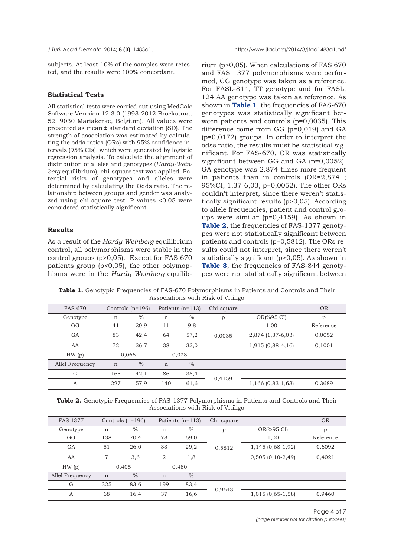subjects. At least 10% of the samples were retested, and the results were 100% concordant.

## **Statistical Tests**

All statistical tests were carried out using MedCalc Software Verrsion 12.3.0 (1993-2012 Broekstraat 52, 9030 Mariakerke, Belgium). All values were presented as mean ± standard deviation (SD). The strength of association was estimated by calculating the odds ratios (ORs) with 95% confidence intervals (95% CIs), which were generated by logistic regression analysis. To calculate the alignment of distribution of alleles and genotypes (*Hardy-Weinberg* equilibrium), chi-square test was applied. Potential risks of genotypes and alleles were determined by calculating the Odds ratio. The relationship between groups and gender was analyzed using chi-square test. P values <0.05 were considered statistically significant.

# **Results**

As a result of the *Hardy-Weinberg* equilibrium control, all polymorphisms were stable in the control groups (p>0,05). Except for FAS 670 patients group (p<0,05), the other polymophisms were in the *Hardy Weinberg* equilibrium (p>0,05). When calculations of FAS 670 and FAS 1377 polymorphisms were performed, GG genotype was taken as a reference. For FASL-844, TT genotype and for FASL, 124 AA genotype was taken as reference. As shown in **Table 1**, the frequencies of FAS-670 genotypes was statistically significant between patients and controls (p=0,0035). This difference come from GG (p=0,019) and GA (p=0,0172) groups. In order to interpret the odss ratio, the results must be statistical significant. For FAS-670, OR was statistically significant between GG and GA (p=0,0052). GA genotype was 2.874 times more frequent in patients than in controls (OR=2,874 ; 95%CI, 1,37-6,03, p=0,0052). The other ORs couldn't interpret, since there weren't statistically significant results (p>0,05). According to allele frequencies, patient and control groups were similar (p=0,4159). As shown in **Table 2**, the frequencies of FAS-1377 genotypes were not statistically significant between patients and controls (p=0,5812). The ORs results could not interpret, since there weren't statistically significant (p>0,05). As shown in **[Table 3](#page-4-0)**, the frequencies of FAS-844 genotypes were not statistically significant between

**Table 1.** Genotypic Frequencies of FAS-670 Polymorphisms in Patients and Controls and Their Associations with Risk of Vitiligo

| <b>FAS 670</b>  |             | Controls $(n=196)$ |     | Patients $(n=113)$ | Chi-square |                     | <b>OR</b> |
|-----------------|-------------|--------------------|-----|--------------------|------------|---------------------|-----------|
| Genotype        | $\mathbf n$ | $\frac{0}{0}$      | n   | $\%$               | p          | OR(%95 CI)          | p         |
| GG              | 41          | 20,9               | 11  | 9,8                | 0,0035     | 1,00                | Reference |
| GA              | 83          | 42,4               | 64  | 57,2               |            | 2,874 (1,37-6,03)   | 0,0052    |
| AA              | 72          | 36,7               | 38  | 33,0               |            | 1,915 (0,88-4,16)   | 0,1001    |
| HW(p)           |             | 0,028<br>0,066     |     |                    |            |                     |           |
| Allel Frequency | $\mathbf n$ | $\frac{0}{0}$      | n   | $\%$               |            |                     |           |
| G               | 165         | 42,1               | 86  | 38,4               | 0,4159     | $- - - -$           |           |
| $\overline{A}$  | 227         | 57,9               | 140 | 61,6               |            | $1,166$ (0,83-1,63) | 0,3689    |

**Table 2.** Genotypic Frequencies of FAS-1377 Polymorphisms in Patients and Controls and Their Associations with Risk of Vitiligo

| <b>FAS 1377</b> |             | Controls $(n=196)$ |                | Patients $(n=113)$ | Chi-square |                    | <b>OR</b> |
|-----------------|-------------|--------------------|----------------|--------------------|------------|--------------------|-----------|
| Genotype        | n           | $\%$               | n              | $\%$               | p          | OR(%95 CI)         | р         |
| GG              | 138         | 70,4               | 78             | 69,0               | 0,5812     | 1,00               | Reference |
| GA              | 51          | 26,0               | 33             | 29,2               |            | 1,145 (0,68-1,92)  | 0,6092    |
| AA              | 7           | 3,6                | $\overline{2}$ | 1,8                |            | $0,505(0,10-2,49)$ | 0,4021    |
| HW(p)           | 0,405       |                    | 0,480          |                    |            |                    |           |
| Allel Frequency | $\mathbf n$ | $\%$               | $\mathbf n$    | $\frac{0}{0}$      |            |                    |           |
| G               | 325         | 83,6               | 199            | 83,4               | 0,9643     | ----               |           |
| A               | 68          | 16,4               | 37             | 16,6               |            | $1,015(0,65-1,58)$ | 0,9460    |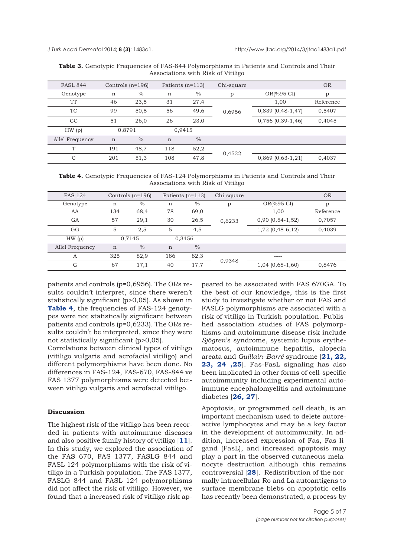<span id="page-4-0"></span>

| <b>FASL 844</b> |             | Controls $(n=196)$ | Patients $(n=113)$ |               | Chi-square |                       | <b>OR</b> |
|-----------------|-------------|--------------------|--------------------|---------------|------------|-----------------------|-----------|
| Genotype        | $\mathbf n$ | $\%$               | n                  | $\%$          | p          | OR(%95 CI)            | p         |
| <b>TT</b>       | 46          | 23,5               | 31                 | 27,4          | 0,6956     | 1,00                  | Reference |
| TC              | 99          | 50,5               | 56                 | 49,6          |            | $0,839(0,48-1,47)$    | 0,5407    |
| CC              | 51          | 26,0               | 26                 | 23,0          |            | $0,756$ (0,39-1,46)   | 0,4045    |
| HW(p)           | 0,8791      |                    | 0,9415             |               |            |                       |           |
| Allel Frequency | $\mathbf n$ | $\frac{0}{0}$      | $\mathbf n$        | $\frac{0}{0}$ |            |                       |           |
| T               | 191         | 48,7               | 118                | 52,2          | 0,4522     | ----                  |           |
| $\mathcal{C}$   | 201         | 51,3               | 108                | 47,8          |            | $0,869$ $(0,63-1,21)$ | 0,4037    |

**Table 3.** Genotypic Frequencies of FAS-844 Polymorphisms in Patients and Controls and Their Associations with Risk of Vitiligo

**Table 4.** Genotypic Frequencies of FAS-124 Polymorphisms in Patients and Controls and Their Associations with Risk of Vitiligo

| <b>FAS 124</b>  |        | Controls $(n=196)$ | Patients $(n=113)$ |               | Chi-square |                    | <b>OR</b> |
|-----------------|--------|--------------------|--------------------|---------------|------------|--------------------|-----------|
| Genotype        | n      | $\frac{0}{0}$      | n                  | $\frac{0}{0}$ | p          | OR(%95 CI)         | р         |
| AA              | 134    | 68,4               | 78                 | 69,0          | 0,6233     | 1,00               | Reference |
| GA              | 57     | 29,1               | 30                 | 26,5          |            | $0,90(0,54-1,52)$  | 0,7057    |
| GG              | 5      | 2,5                | 5                  | 4,5           |            | $1,72$ (0,48-6,12) | 0,4039    |
| HW(p)           | 0,7145 |                    | 0,3456             |               |            |                    |           |
| Allel Frequency | n      | $\frac{0}{0}$      | n                  | $\frac{0}{0}$ |            |                    |           |
| A               | 325    | 82,9               | 186                | 82,3          | 0,9348     | ----               |           |
| G               | 67     | 17,1               | 40                 | 17,7          |            | $1,04(0,68-1,60)$  | 0,8476    |

patients and controls (p=0,6956). The ORs results couldn't interpret, since there weren't statistically significant (p>0,05). As shown in **Table 4**, the frequencies of FAS-124 genotypes were not statistically significant between patients and controls (p=0,6233). The ORs results couldn't be interpreted, since they were not statistically significant (p>0,05).

Correlations between clinical types of vitiligo (vitiligo vulgaris and acrofacial vitiligo) and different polymorphisms have been done. No differences in FAS-124, FAS-670, FAS-844 ve FAS 1377 polymorphisms were detected between vitiligo vulgaris and acrofacial vitiligo.

### **Discussion**

The highest risk of the vitiligo has been recorded in patients with autoimmune diseases and also positive family history of vitiligo [**[11](#page-6-0)**]. In this study, we explored the association of the FAS 670, FAS 1377, FASLG 844 and FASL 124 polymorphisms with the risk of vitiligo in a Turkish population. The FAS 1377, FASLG 844 and FASL 124 polymorphisms did not affect the risk of vitiligo. However, we found that a increased risk of vitiligo risk ap-

peared to be associated with FAS 670GA. To the best of our knowledge, this is the first study to investigate whether or not FAS and FASLG polymorphisms are associated with a risk of vitiligo in Turkish population. Published association studies of FAS polymorphisms and autoimmune disease risk include *Sjögren*'s syndrome, systemic lupus erythematosus, autoimmune hepatitis, alopecia areata and *Guillain–Barré* syndrome [**[21, 22,](#page-6-0) [23,](#page-6-0) [24 ,25](#page-6-0)**]. Fas-FasL signaling has also been implicated in other forms of cell-specific autoimmunity including experimental autoimmune encephalomyelitis and autoimmune diabetes [**[26, 27](#page-6-0)**].

Apoptosis, or programmed cell death, is an important mechanism used to delete autoreactive lymphocytes and may be a key factor in the development of autoimmunity. In addition, increased expression of Fas, Fas ligand (FasL), and increased apoptosis may play a part in the observed cutaneous melanocyte destruction although this remains controversial [**[28](#page-6-0)**]. Redistribution of the normally intracellular Ro and La autoantigens to surface membrane blebs on apoptotic cells has recently been demonstrated, a process by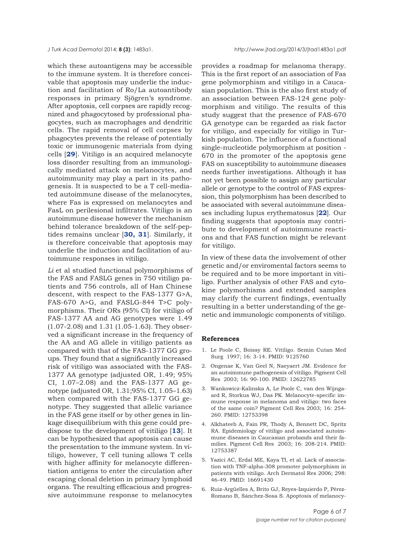<span id="page-5-0"></span>which these autoantigens may be accessible to the immune system. It is therefore conceivable that apoptosis may underlie the induction and facilitation of Ro/La autoantibody responses in primary Sjögren's syndrome. After apoptosis, cell corpses are rapidly recognized and phagocytosed by professional phagocytes, such as macrophages and dendritic cells. The rapid removal of cell corpses by phagocytes prevents the release of potentially toxic or immunogenic materials from dying cells [**[29](#page-6-0)**]. Vitiligo is an acquired melanocyte loss disorder resulting from an immunologically mediated attack on melanocytes, and autoimmunity may play a part in its pathogenesis. It is suspected to be a T cell-mediated autoimmune disease of the melanocytes, where Fas is expressed on melanocytes and FasL on perilesional infiltrates. Vitiligo is an autoimmune disease however the mechanism behind tolerance breakdown of the self-peptides remains unclear [**[30,](#page-6-0) [31](#page-6-0)**]. Similarly, it is therefore conceivable that apoptosis may underlie the induction and facilitation of autoimmune responses in vitiligo.

*Li* et al studied functional polymorphisms of the FAS and FASLG genes in 750 vitiligo patients and 756 controls, all of Han Chinese descent, with respect to the FAS-1377 G>A, FAS-670 A>G, and FASLG-844 T>C polymorphisms. Their ORs (95% CI) for vitiligo of FAS-1377 AA and AG genotypes were 1.49 (1.07-2.08) and 1.31 (1.05-1.63). They observed a significant increase in the frequency of the AA and AG allele in vitiligo patients as compared with that of the FAS-1377 GG groups. They found that a significantly increased risk of vitiligo was associated with the FAS-1377 AA genotype (adjusted OR, 1.49; 95% CI, 1.07–2.08) and the FAS-1377 AG genotype (adjusted OR, 1.31;95% CI, 1.05–1.63) when compared with the FAS-1377 GG genotype. They suggested that allelic variance in the FAS gene itself or by other genes in linkage disequilibrium with this gene could predispose to the development of vitiligo [**[13](#page-6-0)**]. It can be hypothesized that apoptosis can cause the presentation to the immune system. In vitiligo, however, T cell tuning allows T cells with higher affinity for melanocyte differentiation antigens to enter the circulation after escaping clonal deletion in primary lymphoid organs. The resulting efficacious and progressive autoimmune response to melanocytes

provides a roadmap for melanoma therapy. This is the first report of an association of Fas gene polymorphism and vitiligo in a Caucasian population. This is the also first study of an association between FAS-124 gene polymorphism and vitiligo. The results of this study suggest that the presence of FAS-670 GA genotype can be regarded as risk factor for vitiligo, and especially for vitiligo in Turkish population. The influence of a functional single-nucleotide polymorphism at position - 670 in the promoter of the apoptosis gene FAS on susceptibility to autoimmune diseases needs further investigations. Although it has not yet been possible to assign any particular allele or genotype to the control of FAS expression, this polymorphism has been described to be associated with several autoimmune diseases including lupus erythematosus [**[22](#page-6-0)**]. Our finding suggests that apoptosis may contribute to development of autoimmune reactions and that FAS function might be relevant for vitiligo.

In view of these data the involvement of other genetic and/or enviromental factors seems to be required and to be more important in vitiligo. Further analysis of other FAS and cytokine polymorhisms and extended samples may clarify the current findings, eventually resulting in a better understanding of the genetic and immunologic components of vitiligo.

#### **References**

- 1. Le Poole C, Boissy RE. Vitiligo. Semin Cutan Med Surg 1997; 16: 3-14. PMID: 9125760
- 2. Ongenae K, Van Geel N, Naeyaert JM. Evidence for an autoimmune pathogenesis of vitiligo. Pigment Cell Res 2003; 16: 90-100. PMID: 12622785
- 3. Wankowicz-Kalinska A, Le Poole C, van den Wijngaard R, Storkus WJ, Das PK. Melanocyte-specific immune response in melanoma and vitiligo: two faces of the same coin? Pigment Cell Res 2003; 16: 254- 260. PMID: 12753398
- 4. Alkhateeb A, Fain PR, Thody A, Bennett DC, Spritz RA. Epidemiology of vitiligo and associated autoimmune diseases in Caucasian probands and their families. Pigment Cell Res 2003; 16: 208-214. PMID: 12753387
- 5. Yazici AC, Erdal ME, Kaya TI, et al. Lack of association with TNF-alpha-308 promoter polymorphism in patients with vitiligo. Arch Dermatol Res 2006; 298: 46-49. PMID: 16691430
- 6. Ruiz-Argüelles A, Brito GJ, Reyes-Izquierdo P, Pérez-Romano B, Sánchez-Sosa S. Apoptosis of melanocy-